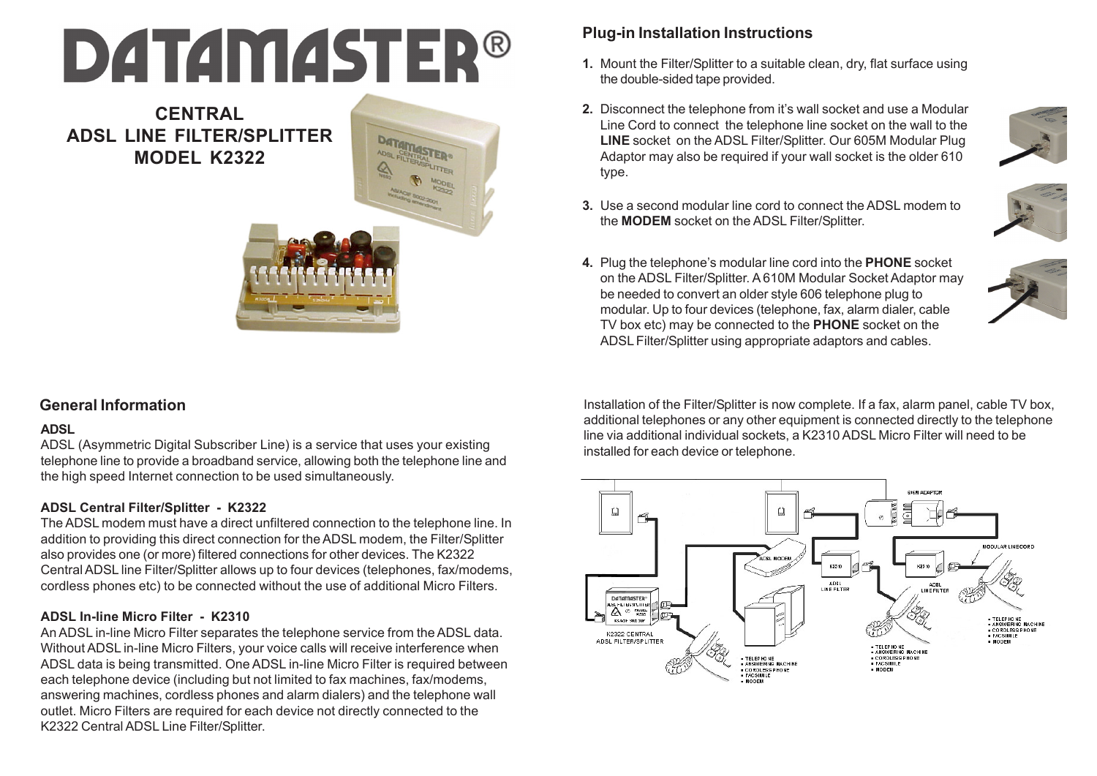# **DATAMASTER®**

**CENTRAL ADSL LINE FILTER/SPLITTER MODEL K2322**

# **DATAMASTER®**

# **General Information**

### **ADSL**

ADSL (Asymmetric Digital Subscriber Line) is a service that uses your existing telephone line to provide a broadband service, allowing both the telephone line and the high speed Internet connection to be used simultaneously.

### **ADSL Central Filter/Splitter - K2322**

The ADSL modem must have a direct unfiltered connection to the telephone line. In addition to providing this direct connection for the ADSL modem, the Filter/Splitter also provides one (or more) filtered connections for other devices. The K2322 Central ADSL line Filter/Splitter allows up to four devices (telephones, fax/modems, cordless phones etc) to be connected without the use of additional Micro Filters.

### **ADSL In-line Micro Filter - K2310**

An ADSL in-line Micro Filter separates the telephone service from the ADSL data. Without ADSL in-line Micro Filters, your voice calls will receive interference when ADSL data is being transmitted. One ADSL in-line Micro Filter is required between each telephone device (including but not limited to fax machines, fax/modems, answering machines, cordless phones and alarm dialers) and the telephone wall outlet. Micro Filters are required for each device not directly connected to the K2322 Central ADSL Line Filter/Splitter.

# **Plug-in Installation Instructions**

- Mount the Filter/Splitter to a suitable clean, dry, flat surface using **1.** the double-sided tape provided.
- Disconnect the telephone from it's wall socket and use a Modular **2.** Line Cord to connect the telephone line socket on the wall to the **LINE** socket on the ADSL Filter/Splitter. Our 605M Modular Plug Adaptor may also be required if your wall socket is the older 610 type.



Use a second modular line cord to connect the ADSL modem to **3.** the **MODEM** socket on the ADSL Filter/Splitter.



Plug the telephone's modular line cord into the **PHONE** socket **4.**on the ADSL Filter/Splitter. A 610M Modular Socket Adaptor may be needed to convert an older style 606 telephone plug to modular. Up to four devices (telephone, fax, alarm dialer, cable TV box etc) may be connected to the **PHONE** socket on the ADSL Filter/Splitter using appropriate adaptors and cables.

Installation of the Filter/Splitter is now complete. If a fax, alarm panel, cable TV box, additional telephones or any other equipment is connected directly to the telephone line via additional individual sockets, a K2310 ADSL Micro Filter will need to be installed for each device or telephone.